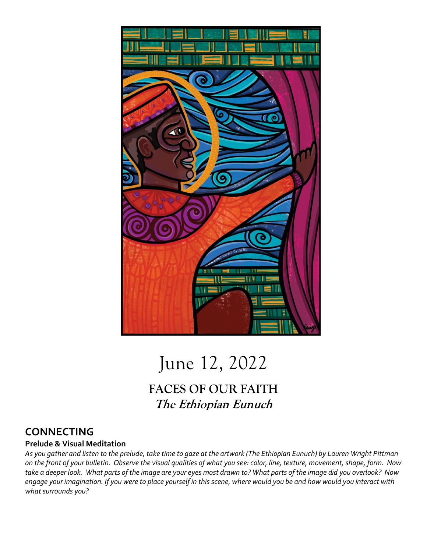

# June 12, 2022

# **FACES OF OUR FAITH The Ethiopian Eunuch**

## **CONNECTING**

#### **Prelude & Visual Meditation**

*As you gather and listen to the prelude, take time to gaze at the artwork (The Ethiopian Eunuch) by Lauren Wright Pittman on the front of your bulletin. Observe the visual qualities of what you see: color, line, texture, movement, shape, form. Now take a deeper look. What parts of the image are your eyes most drawn to? What parts of the image did you overlook? Now engage your imagination. If you were to place yourself in this scene, where would you be and how would you interact with what surrounds you?*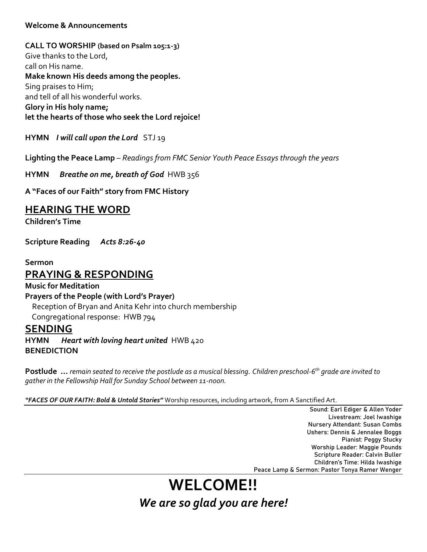#### **Welcome & Announcements**

**CALL TO WORSHIP (based on Psalm 105:1-3)** Give thanks to the Lord, call on His name. **Make known His deeds among the peoples.** Sing praises to Him; and tell of all his wonderful works. **Glory in His holy name; let the hearts of those who seek the Lord rejoice!**

**HYMN** *I will call upon the Lord* STJ 19

**Lighting the Peace Lamp** – *Readings from FMC Senior Youth Peace Essays through the years*

**HYMN** *Breathe on me, breath of God*HWB 356

**A "Faces of our Faith" story from FMC History**

### **HEARING THE WORD**

**Children's Time**

**Scripture Reading** *Acts 8:26-40*

**Sermon** 

### **PRAYING & RESPONDING**

**Music for Meditation Prayers of the People (with Lord's Prayer)** Reception of Bryan and Anita Kehr into church membership Congregational response: HWB 794

#### **SENDING**

**HYMN** *Heart with loving heart united* HWB 420 **BENEDICTION**

**Postlude …** *remain seated to receive the postlude as a musical blessing. Children preschool-6 th grade are invited to gather in the Fellowship Hall for Sunday School between 11-noon.*

*"FACES OF OUR FAITH: Bold & Untold Stories"* Worship resources, including artwork, from A Sanctified Art.

Sound: Earl Ediger & Allen Yoder Livestream: Joel Iwashige Nursery Attendant: Susan Combs Ushers: Dennis & Jennalee Boggs Pianist: Peggy Stucky Worship Leader: Maggie Pounds Scripture Reader: Calvin Buller Children's Time: Hilda Iwashige Peace Lamp & Sermon: Pastor Tonya Ramer Wenger

# **WELCOME!!** *We are so glad you are here!*